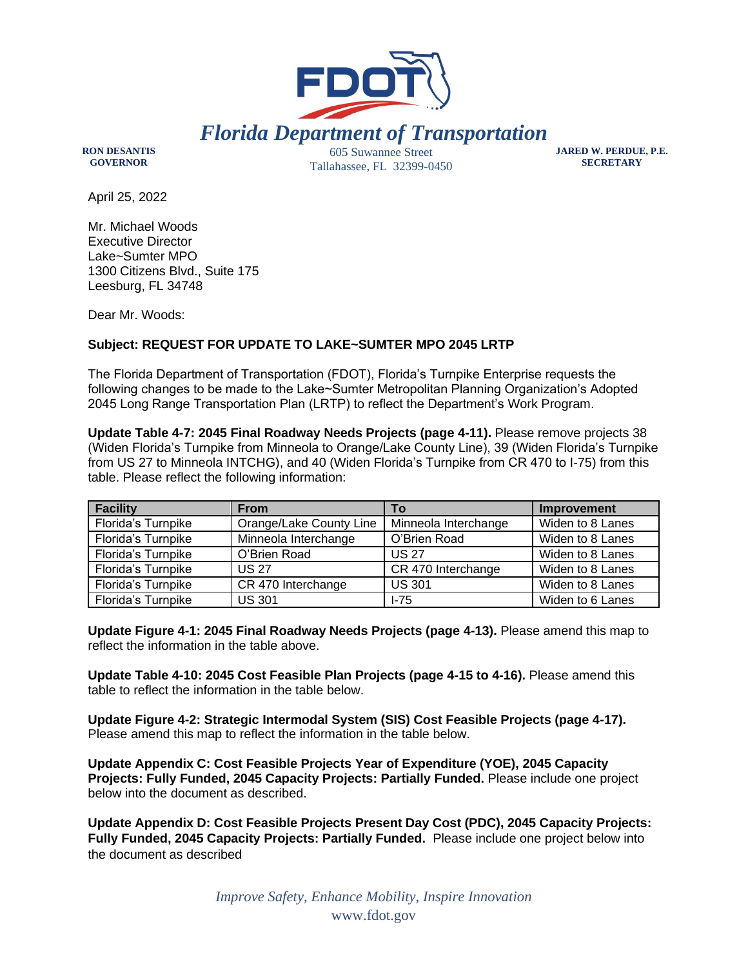

**RON DESANTIS GOVERNOR**

605 Suwannee Street Tallahassee, FL 32399-0450 **JARED W. PERDUE, P.E. SECRETARY**

April 25, 2022

Mr. Michael Woods Executive Director Lake~Sumter MPO 1300 Citizens Blvd., Suite 175 Leesburg, FL 34748

Dear Mr. Woods:

## **Subject: REQUEST FOR UPDATE TO LAKE~SUMTER MPO 2045 LRTP**

The Florida Department of Transportation (FDOT), Florida's Turnpike Enterprise requests the following changes to be made to the Lake~Sumter Metropolitan Planning Organization's Adopted 2045 Long Range Transportation Plan (LRTP) to reflect the Department's Work Program.

**Update Table 4-7: 2045 Final Roadway Needs Projects (page 4-11).** Please remove projects 38 (Widen Florida's Turnpike from Minneola to Orange/Lake County Line), 39 (Widen Florida's Turnpike from US 27 to Minneola INTCHG), and 40 (Widen Florida's Turnpike from CR 470 to I-75) from this table. Please reflect the following information:

| <b>Facility</b>    | <b>From</b>             | Τo                   | <b>Improvement</b> |  |
|--------------------|-------------------------|----------------------|--------------------|--|
| Florida's Turnpike | Orange/Lake County Line | Minneola Interchange | Widen to 8 Lanes   |  |
| Florida's Turnpike | Minneola Interchange    | O'Brien Road         | Widen to 8 Lanes   |  |
| Florida's Turnpike | O'Brien Road            | <b>US 27</b>         | Widen to 8 Lanes   |  |
| Florida's Turnpike | <b>US 27</b>            | CR 470 Interchange   | Widen to 8 Lanes   |  |
| Florida's Turnpike | CR 470 Interchange      | <b>US 301</b>        | Widen to 8 Lanes   |  |
| Florida's Turnpike | <b>US 301</b>           | $1-75$               | Widen to 6 Lanes   |  |

**Update Figure 4-1: 2045 Final Roadway Needs Projects (page 4-13).** Please amend this map to reflect the information in the table above.

**Update Table 4-10: 2045 Cost Feasible Plan Projects (page 4-15 to 4-16).** Please amend this table to reflect the information in the table below.

**Update Figure 4-2: Strategic Intermodal System (SIS) Cost Feasible Projects (page 4-17).** Please amend this map to reflect the information in the table below.

**Update Appendix C: Cost Feasible Projects Year of Expenditure (YOE), 2045 Capacity Projects: Fully Funded, 2045 Capacity Projects: Partially Funded.** Please include one project below into the document as described.

**Update Appendix D: Cost Feasible Projects Present Day Cost (PDC), 2045 Capacity Projects: Fully Funded, 2045 Capacity Projects: Partially Funded.** Please include one project below into the document as described

> *Improve Safety, Enhance Mobility, Inspire Innovation* www.fdot.gov